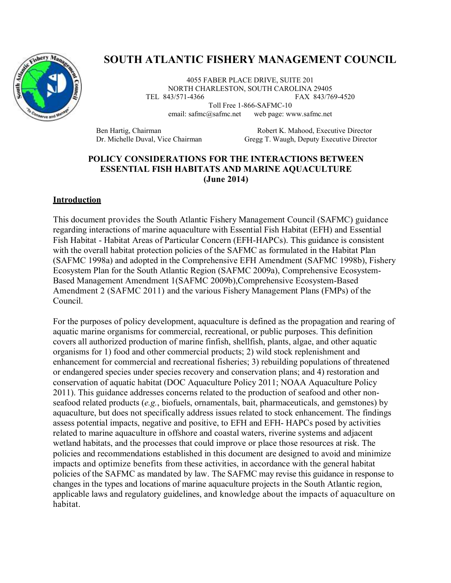

# **SOUTH ATLANTIC FISHERY MANAGEMENT COUNCIL**

4055 FABER PLACE DRIVE, SUITE 201 NORTH CHARLESTON, SOUTH CAROLINA 29405 TEL 843/571-4366 FAX 843/769-4520 Toll Free 1-866-SAFMC-10

email: safmc@safmc.net web page: www.safmc.net

Ben Hartig, Chairman Robert K. Mahood, Executive Director<br>
Dr. Michelle Duval, Vice Chairman Gregg T. Waugh, Deputy Executive Directo Gregg T. Waugh, Deputy Executive Director

# **POLICY CONSIDERATIONS FOR THE INTERACTIONS BETWEEN ESSENTIAL FISH HABITATS AND MARINE AQUACULTURE (June 2014)**

#### **Introduction**

This document provides the South Atlantic Fishery Management Council (SAFMC) guidance regarding interactions of marine aquaculture with Essential Fish Habitat (EFH) and Essential Fish Habitat - Habitat Areas of Particular Concern (EFH-HAPCs). This guidance is consistent with the overall habitat protection policies of the SAFMC as formulated in the Habitat Plan (SAFMC 1998a) and adopted in the Comprehensive EFH Amendment (SAFMC 1998b), Fishery Ecosystem Plan for the South Atlantic Region (SAFMC 2009a), Comprehensive Ecosystem-Based Management Amendment 1(SAFMC 2009b),Comprehensive Ecosystem-Based Amendment 2 (SAFMC 2011) and the various Fishery Management Plans (FMPs) of the Council.

For the purposes of policy development, aquaculture is defined as the propagation and rearing of aquatic marine organisms for commercial, recreational, or public purposes. This definition covers all authorized production of marine finfish, shellfish, plants, algae, and other aquatic organisms for 1) food and other commercial products; 2) wild stock replenishment and enhancement for commercial and recreational fisheries; 3) rebuilding populations of threatened or endangered species under species recovery and conservation plans; and 4) restoration and conservation of aquatic habitat (DOC Aquaculture Policy 2011; NOAA Aquaculture Policy 2011). This guidance addresses concerns related to the production of seafood and other nonseafood related products (*e.g.*, biofuels, ornamentals, bait, pharmaceuticals, and gemstones) by aquaculture, but does not specifically address issues related to stock enhancement. The findings assess potential impacts, negative and positive, to EFH and EFH- HAPCs posed by activities related to marine aquaculture in offshore and coastal waters, riverine systems and adjacent wetland habitats, and the processes that could improve or place those resources at risk. The policies and recommendations established in this document are designed to avoid and minimize impacts and optimize benefits from these activities, in accordance with the general habitat policies of the SAFMC as mandated by law. The SAFMC may revise this guidance in response to changes in the types and locations of marine aquaculture projects in the South Atlantic region, applicable laws and regulatory guidelines, and knowledge about the impacts of aquaculture on habitat.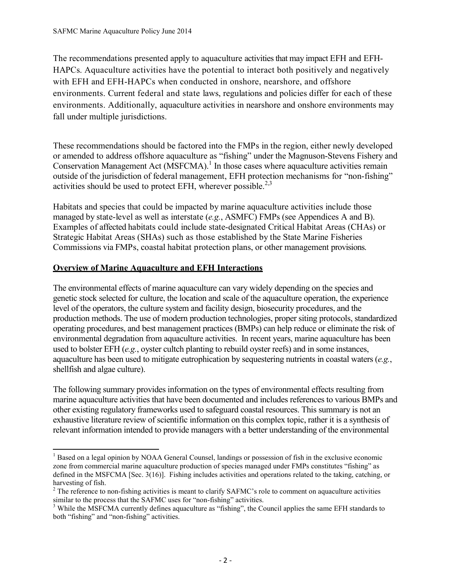The recommendations presented apply to aquaculture activities that may impact EFH and EFH-HAPCs. Aquaculture activities have the potential to interact both positively and negatively with EFH and EFH-HAPCs when conducted in onshore, nearshore, and offshore environments. Current federal and state laws, regulations and policies differ for each of these environments. Additionally, aquaculture activities in nearshore and onshore environments may fall under multiple jurisdictions.

These recommendations should be factored into the FMPs in the region, either newly developed or amended to address offshore aquaculture as "fishing" under the Magnuson-Stevens Fishery and Conservation Management Act (MSFCMA).<sup>1</sup> In those cases where aquaculture activities remain outside of the jurisdiction of federal management, EFH protection mechanisms for "non-fishing" activities should be used to protect EFH, wherever possible.<sup>2,3</sup>

Habitats and species that could be impacted by marine aquaculture activities include those managed by state-level as well as interstate (*e.g.*, ASMFC) FMPs (see Appendices A and B). Examples of affected habitats could include state-designated Critical Habitat Areas (CHAs) or Strategic Habitat Areas (SHAs) such as those established by the State Marine Fisheries Commissions via FMPs, coastal habitat protection plans, or other management provisions.

# **Overview of Marine Aquaculture and EFH Interactions**

The environmental effects of marine aquaculture can vary widely depending on the species and genetic stock selected for culture, the location and scale of the aquaculture operation, the experience level of the operators, the culture system and facility design, biosecurity procedures, and the production methods. The use of modern production technologies, proper siting protocols, standardized operating procedures, and best management practices (BMPs) can help reduce or eliminate the risk of environmental degradation from aquaculture activities. In recent years, marine aquaculture has been used to bolster EFH (*e.g.*, oyster cultch planting to rebuild oyster reefs) and in some instances, aquaculture has been used to mitigate eutrophication by sequestering nutrients in coastal waters (*e.g.*, shellfish and algae culture).

The following summary provides information on the types of environmental effects resulting from marine aquaculture activities that have been documented and includes references to various BMPs and other existing regulatory frameworks used to safeguard coastal resources. This summary is not an exhaustive literature review of scientific information on this complex topic, rather it is a synthesis of relevant information intended to provide managers with a better understanding of the environmental

 $\overline{\phantom{a}}$ <sup>1</sup> Based on a legal opinion by NOAA General Counsel, landings or possession of fish in the exclusive economic zone from commercial marine aquaculture production of species managed under FMPs constitutes "fishing" as defined in the MSFCMA [Sec. 3(16)]. Fishing includes activities and operations related to the taking, catching, or harvesting of fish.

<sup>&</sup>lt;sup>2</sup> The reference to non-fishing activities is meant to clarify SAFMC's role to comment on aquaculture activities similar to the process that the SAFMC uses for "non-fishing" activities.

<sup>&</sup>lt;sup>3</sup> While the MSFCMA currently defines aquaculture as "fishing", the Council applies the same EFH standards to both "fishing" and "non-fishing" activities.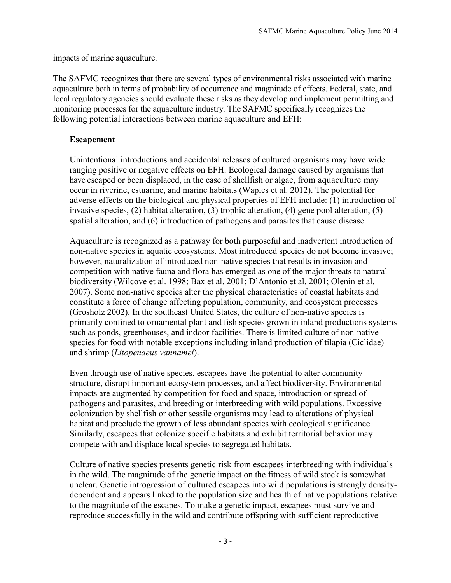impacts of marine aquaculture.

The SAFMC recognizes that there are several types of environmental risks associated with marine aquaculture both in terms of probability of occurrence and magnitude of effects. Federal, state, and local regulatory agencies should evaluate these risks as they develop and implement permitting and monitoring processes for the aquaculture industry. The SAFMC specifically recognizes the following potential interactions between marine aquaculture and EFH:

# **Escapement**

Unintentional introductions and accidental releases of cultured organisms may have wide ranging positive or negative effects on EFH. Ecological damage caused by organisms that have escaped or been displaced, in the case of shellfish or algae, from aquaculture may occur in riverine, estuarine, and marine habitats (Waples et al. 2012). The potential for adverse effects on the biological and physical properties of EFH include: (1) introduction of invasive species, (2) habitat alteration, (3) trophic alteration, (4) gene pool alteration, (5) spatial alteration, and (6) introduction of pathogens and parasites that cause disease.

Aquaculture is recognized as a pathway for both purposeful and inadvertent introduction of non-native species in aquatic ecosystems. Most introduced species do not become invasive; however, naturalization of introduced non-native species that results in invasion and competition with native fauna and flora has emerged as one of the major threats to natural biodiversity (Wilcove et al. 1998; Bax et al. 2001; D'Antonio et al. 2001; Olenin et al. 2007). Some non-native species alter the physical characteristics of coastal habitats and constitute a force of change affecting population, community, and ecosystem processes (Grosholz 2002). In the southeast United States, the culture of non-native species is primarily confined to ornamental plant and fish species grown in inland productions systems such as ponds, greenhouses, and indoor facilities. There is limited culture of non-native species for food with notable exceptions including inland production of tilapia (Ciclidae) and shrimp (*Litopenaeus vannamei*).

Even through use of native species, escapees have the potential to alter community structure, disrupt important ecosystem processes, and affect biodiversity. Environmental impacts are augmented by competition for food and space, introduction or spread of pathogens and parasites, and breeding or interbreeding with wild populations. Excessive colonization by shellfish or other sessile organisms may lead to alterations of physical habitat and preclude the growth of less abundant species with ecological significance. Similarly, escapees that colonize specific habitats and exhibit territorial behavior may compete with and displace local species to segregated habitats.

Culture of native species presents genetic risk from escapees interbreeding with individuals in the wild. The magnitude of the genetic impact on the fitness of wild stock is somewhat unclear. Genetic introgression of cultured escapees into wild populations is strongly densitydependent and appears linked to the population size and health of native populations relative to the magnitude of the escapes. To make a genetic impact, escapees must survive and reproduce successfully in the wild and contribute offspring with sufficient reproductive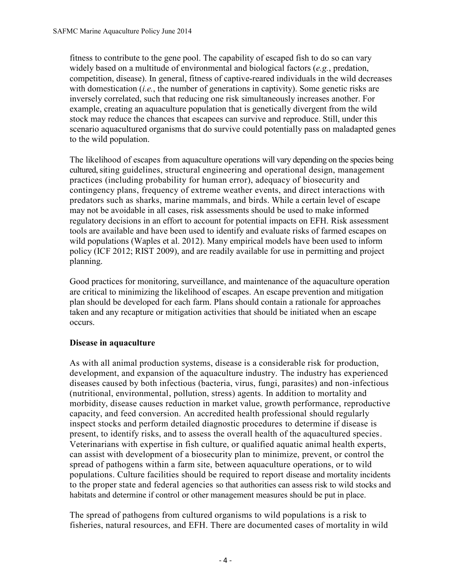fitness to contribute to the gene pool. The capability of escaped fish to do so can vary widely based on a multitude of environmental and biological factors (*e.g.*, predation, competition, disease). In general, fitness of captive-reared individuals in the wild decreases with domestication (*i.e.*, the number of generations in captivity). Some genetic risks are inversely correlated, such that reducing one risk simultaneously increases another. For example, creating an aquaculture population that is genetically divergent from the wild stock may reduce the chances that escapees can survive and reproduce. Still, under this scenario aquacultured organisms that do survive could potentially pass on maladapted genes to the wild population.

The likelihood of escapes from aquaculture operations will vary depending on the species being cultured, siting guidelines, structural engineering and operational design, management practices (including probability for human error), adequacy of biosecurity and contingency plans, frequency of extreme weather events, and direct interactions with predators such as sharks, marine mammals, and birds. While a certain level of escape may not be avoidable in all cases, risk assessments should be used to make informed regulatory decisions in an effort to account for potential impacts on EFH. Risk assessment tools are available and have been used to identify and evaluate risks of farmed escapes on wild populations (Waples et al. 2012). Many empirical models have been used to inform policy (ICF 2012; RIST 2009), and are readily available for use in permitting and project planning.

Good practices for monitoring, surveillance, and maintenance of the aquaculture operation are critical to minimizing the likelihood of escapes. An escape prevention and mitigation plan should be developed for each farm. Plans should contain a rationale for approaches taken and any recapture or mitigation activities that should be initiated when an escape occurs.

# **Disease in aquaculture**

As with all animal production systems, disease is a considerable risk for production, development, and expansion of the aquaculture industry. The industry has experienced diseases caused by both infectious (bacteria, virus, fungi, parasites) and non-infectious (nutritional, environmental, pollution, stress) agents. In addition to mortality and morbidity, disease causes reduction in market value, growth performance, reproductive capacity, and feed conversion. An accredited health professional should regularly inspect stocks and perform detailed diagnostic procedures to determine if disease is present, to identify risks, and to assess the overall health of the aquacultured species. Veterinarians with expertise in fish culture, or qualified aquatic animal health experts, can assist with development of a biosecurity plan to minimize, prevent, or control the spread of pathogens within a farm site, between aquaculture operations, or to wild populations. Culture facilities should be required to report disease and mortality incidents to the proper state and federal agencies so that authorities can assess risk to wild stocks and habitats and determine if control or other management measures should be put in place.

The spread of pathogens from cultured organisms to wild populations is a risk to fisheries, natural resources, and EFH. There are documented cases of mortality in wild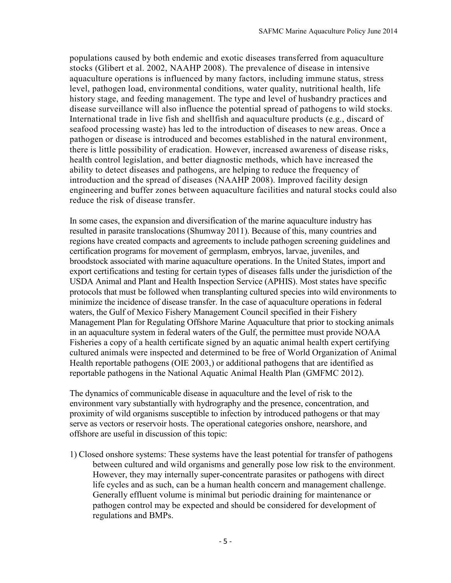populations caused by both endemic and exotic diseases transferred from aquaculture stocks (Glibert et al. 2002, NAAHP 2008). The prevalence of disease in intensive aquaculture operations is influenced by many factors, including immune status, stress level, pathogen load, environmental conditions, water quality, nutritional health, life history stage, and feeding management. The type and level of husbandry practices and disease surveillance will also influence the potential spread of pathogens to wild stocks. International trade in live fish and shellfish and aquaculture products (e.g., discard of seafood processing waste) has led to the introduction of diseases to new areas. Once a pathogen or disease is introduced and becomes established in the natural environment, there is little possibility of eradication. However, increased awareness of disease risks, health control legislation, and better diagnostic methods, which have increased the ability to detect diseases and pathogens, are helping to reduce the frequency of introduction and the spread of diseases (NAAHP 2008). Improved facility design engineering and buffer zones between aquaculture facilities and natural stocks could also reduce the risk of disease transfer.

In some cases, the expansion and diversification of the marine aquaculture industry has resulted in parasite translocations (Shumway 2011). Because of this, many countries and regions have created compacts and agreements to include pathogen screening guidelines and certification programs for movement of germplasm, embryos, larvae, juveniles, and broodstock associated with marine aquaculture operations. In the United States, import and export certifications and testing for certain types of diseases falls under the jurisdiction of the USDA Animal and Plant and Health Inspection Service (APHIS). Most states have specific protocols that must be followed when transplanting cultured species into wild environments to minimize the incidence of disease transfer. In the case of aquaculture operations in federal waters, the Gulf of Mexico Fishery Management Council specified in their Fishery Management Plan for Regulating Offshore Marine Aquaculture that prior to stocking animals in an aquaculture system in federal waters of the Gulf, the permittee must provide NOAA Fisheries a copy of a health certificate signed by an aquatic animal health expert certifying cultured animals were inspected and determined to be free of World Organization of Animal Health reportable pathogens (OIE 2003,) or additional pathogens that are identified as reportable pathogens in the National Aquatic Animal Health Plan (GMFMC 2012).

The dynamics of communicable disease in aquaculture and the level of risk to the environment vary substantially with hydrography and the presence, concentration, and proximity of wild organisms susceptible to infection by introduced pathogens or that may serve as vectors or reservoir hosts. The operational categories onshore, nearshore, and offshore are useful in discussion of this topic:

1) Closed onshore systems: These systems have the least potential for transfer of pathogens between cultured and wild organisms and generally pose low risk to the environment. However, they may internally super-concentrate parasites or pathogens with direct life cycles and as such, can be a human health concern and management challenge. Generally effluent volume is minimal but periodic draining for maintenance or pathogen control may be expected and should be considered for development of regulations and BMPs.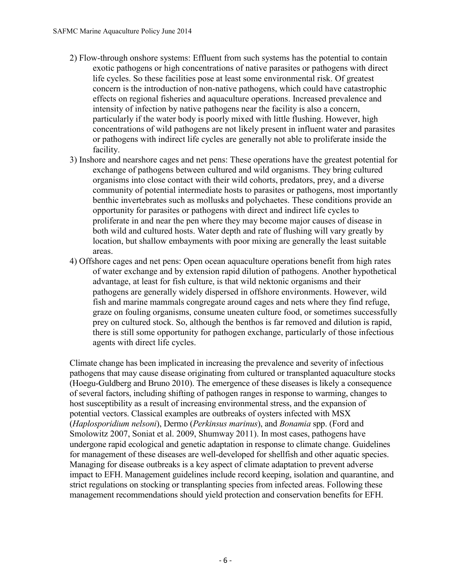- 2) Flow-through onshore systems: Effluent from such systems has the potential to contain exotic pathogens or high concentrations of native parasites or pathogens with direct life cycles. So these facilities pose at least some environmental risk. Of greatest concern is the introduction of non-native pathogens, which could have catastrophic effects on regional fisheries and aquaculture operations. Increased prevalence and intensity of infection by native pathogens near the facility is also a concern, particularly if the water body is poorly mixed with little flushing. However, high concentrations of wild pathogens are not likely present in influent water and parasites or pathogens with indirect life cycles are generally not able to proliferate inside the facility.
- 3) Inshore and nearshore cages and net pens: These operations have the greatest potential for exchange of pathogens between cultured and wild organisms. They bring cultured organisms into close contact with their wild cohorts, predators, prey, and a diverse community of potential intermediate hosts to parasites or pathogens, most importantly benthic invertebrates such as mollusks and polychaetes. These conditions provide an opportunity for parasites or pathogens with direct and indirect life cycles to proliferate in and near the pen where they may become major causes of disease in both wild and cultured hosts. Water depth and rate of flushing will vary greatly by location, but shallow embayments with poor mixing are generally the least suitable areas.
- 4) Offshore cages and net pens: Open ocean aquaculture operations benefit from high rates of water exchange and by extension rapid dilution of pathogens. Another hypothetical advantage, at least for fish culture, is that wild nektonic organisms and their pathogens are generally widely dispersed in offshore environments. However, wild fish and marine mammals congregate around cages and nets where they find refuge, graze on fouling organisms, consume uneaten culture food, or sometimes successfully prey on cultured stock. So, although the benthos is far removed and dilution is rapid, there is still some opportunity for pathogen exchange, particularly of those infectious agents with direct life cycles.

Climate change has been implicated in increasing the prevalence and severity of infectious pathogens that may cause disease originating from cultured or transplanted aquaculture stocks (Hoegu-Guldberg and Bruno 2010). The emergence of these diseases is likely a consequence of several factors, including shifting of pathogen ranges in response to warming, changes to host susceptibility as a result of increasing environmental stress, and the expansion of potential vectors. Classical examples are outbreaks of oysters infected with MSX (*Haplosporidium nelsoni*), Dermo (*Perkinsus marinus*), and *Bonamia* spp. (Ford and Smolowitz 2007, Soniat et al. 2009, Shumway 2011). In most cases, pathogens have undergone rapid ecological and genetic adaptation in response to climate change. Guidelines for management of these diseases are well-developed for shellfish and other aquatic species. Managing for disease outbreaks is a key aspect of climate adaptation to prevent adverse impact to EFH. Management guidelines include record keeping, isolation and quarantine, and strict regulations on stocking or transplanting species from infected areas. Following these management recommendations should yield protection and conservation benefits for EFH.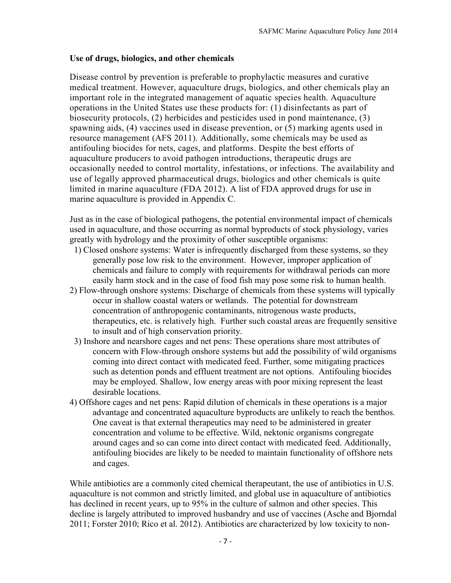### **Use of drugs, biologics, and other chemicals**

Disease control by prevention is preferable to prophylactic measures and curative medical treatment. However, aquaculture drugs, biologics, and other chemicals play an important role in the integrated management of aquatic species health. Aquaculture operations in the United States use these products for: (1) disinfectants as part of biosecurity protocols, (2) herbicides and pesticides used in pond maintenance, (3) spawning aids, (4) vaccines used in disease prevention, or (5) marking agents used in resource management (AFS 2011). Additionally, some chemicals may be used as antifouling biocides for nets, cages, and platforms. Despite the best efforts of aquaculture producers to avoid pathogen introductions, therapeutic drugs are occasionally needed to control mortality, infestations, or infections. The availability and use of legally approved pharmaceutical drugs, biologics and other chemicals is quite limited in marine aquaculture (FDA 2012). A list of FDA approved drugs for use in marine aquaculture is provided in Appendix C.

Just as in the case of biological pathogens, the potential environmental impact of chemicals used in aquaculture, and those occurring as normal byproducts of stock physiology, varies greatly with hydrology and the proximity of other susceptible organisms:

- 1) Closed onshore systems: Water is infrequently discharged from these systems, so they generally pose low risk to the environment. However, improper application of chemicals and failure to comply with requirements for withdrawal periods can more easily harm stock and in the case of food fish may pose some risk to human health.
- 2) Flow-through onshore systems: Discharge of chemicals from these systems will typically occur in shallow coastal waters or wetlands. The potential for downstream concentration of anthropogenic contaminants, nitrogenous waste products, therapeutics, etc. is relatively high. Further such coastal areas are frequently sensitive to insult and of high conservation priority.
- 3) Inshore and nearshore cages and net pens: These operations share most attributes of concern with Flow-through onshore systems but add the possibility of wild organisms coming into direct contact with medicated feed. Further, some mitigating practices such as detention ponds and effluent treatment are not options. Antifouling biocides may be employed. Shallow, low energy areas with poor mixing represent the least desirable locations.
- 4) Offshore cages and net pens: Rapid dilution of chemicals in these operations is a major advantage and concentrated aquaculture byproducts are unlikely to reach the benthos. One caveat is that external therapeutics may need to be administered in greater concentration and volume to be effective. Wild, nektonic organisms congregate around cages and so can come into direct contact with medicated feed. Additionally, antifouling biocides are likely to be needed to maintain functionality of offshore nets and cages.

While antibiotics are a commonly cited chemical therapeutant, the use of antibiotics in U.S. aquaculture is not common and strictly limited, and global use in aquaculture of antibiotics has declined in recent years, up to 95% in the culture of salmon and other species. This decline is largely attributed to improved husbandry and use of vaccines (Asche and Bjorndal 2011; Forster 2010; Rico et al. 2012). Antibiotics are characterized by low toxicity to non-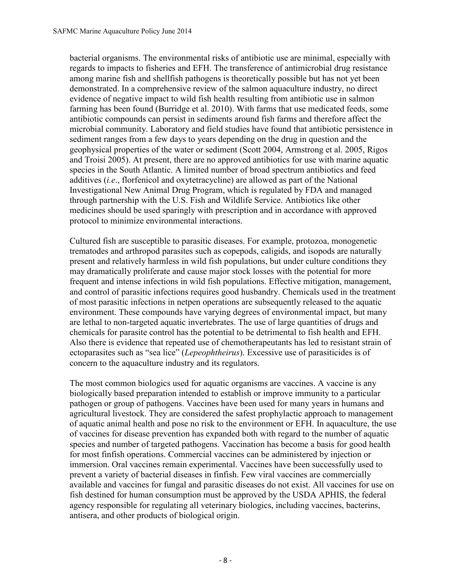bacterial organisms. The environmental risks of antibiotic use are minimal, especially with regards to impacts to fisheries and EFH. The transference of antimicrobial drug resistance among marine fish and shellfish pathogens is theoretically possible but has not yet been demonstrated. In a comprehensive review of the salmon aquaculture industry, no direct evidence of negative impact to wild fish health resulting from antibiotic use in salmon farming has been found (Burridge et al. 2010). With farms that use medicated feeds, some antibiotic compounds can persist in sediments around fish farms and therefore affect the microbial community. Laboratory and field studies have found that antibiotic persistence in sediment ranges from a few days to years depending on the drug in question and the geophysical properties of the water or sediment (Scott 2004, Armstrong et al. 2005, Rigos and Troisi 2005). At present, there are no approved antibiotics for use with marine aquatic species in the South Atlantic. A limited number of broad spectrum antibiotics and feed additives (*i.e*., florfenicol and oxytetracycline) are allowed as part of the National Investigational New Animal Drug Program, which is regulated by FDA and managed through partnership with the U.S. Fish and Wildlife Service. Antibiotics like other medicines should be used sparingly with prescription and in accordance with approved protocol to minimize environmental interactions.

Cultured fish are susceptible to parasitic diseases. For example, protozoa, monogenetic trematodes and arthropod parasites such as copepods, caligids, and isopods are naturally present and relatively harmless in wild fish populations, but under culture conditions they may dramatically proliferate and cause major stock losses with the potential for more frequent and intense infections in wild fish populations. Effective mitigation, management, and control of parasitic infections requires good husbandry. Chemicals used in the treatment of most parasitic infections in netpen operations are subsequently released to the aquatic environment. These compounds have varying degrees of environmental impact, but many are lethal to non-targeted aquatic invertebrates. The use of large quantities of drugs and chemicals for parasite control has the potential to be detrimental to fish health and EFH. Also there is evidence that repeated use of chemotherapeutants has led to resistant strain of ectoparasites such as "sea lice" (*Lepeophtheirus*). Excessive use of parasiticides is of concern to the aquaculture industry and its regulators.

The most common biologics used for aquatic organisms are vaccines. A vaccine is any biologically based preparation intended to establish or improve immunity to a particular pathogen or group of pathogens. Vaccines have been used for many years in humans and agricultural livestock. They are considered the safest prophylactic approach to management of aquatic animal health and pose no risk to the environment or EFH. In aquaculture, the use of vaccines for disease prevention has expanded both with regard to the number of aquatic species and number of targeted pathogens. Vaccination has become a basis for good health for most finfish operations. Commercial vaccines can be administered by injection or immersion. Oral vaccines remain experimental. Vaccines have been successfully used to prevent a variety of bacterial diseases in finfish. Few viral vaccines are commercially available and vaccines for fungal and parasitic diseases do not exist. All vaccines for use on fish destined for human consumption must be approved by the USDA APHIS, the federal agency responsible for regulating all veterinary biologics, including vaccines, bacterins, antisera, and other products of biological origin.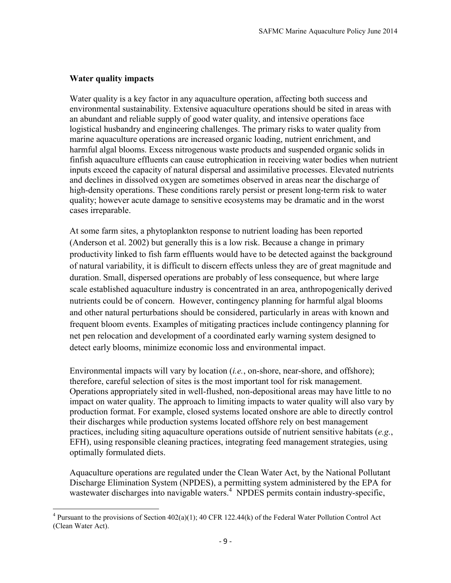# **Water quality impacts**

Water quality is a key factor in any aquaculture operation, affecting both success and environmental sustainability. Extensive aquaculture operations should be sited in areas with an abundant and reliable supply of good water quality, and intensive operations face logistical husbandry and engineering challenges. The primary risks to water quality from marine aquaculture operations are increased organic loading, nutrient enrichment, and harmful algal blooms. Excess nitrogenous waste products and suspended organic solids in finfish aquaculture effluents can cause eutrophication in receiving water bodies when nutrient inputs exceed the capacity of natural dispersal and assimilative processes. Elevated nutrients and declines in dissolved oxygen are sometimes observed in areas near the discharge of high-density operations. These conditions rarely persist or present long-term risk to water quality; however acute damage to sensitive ecosystems may be dramatic and in the worst cases irreparable.

At some farm sites, a phytoplankton response to nutrient loading has been reported (Anderson et al. 2002) but generally this is a low risk. Because a change in primary productivity linked to fish farm effluents would have to be detected against the background of natural variability, it is difficult to discern effects unless they are of great magnitude and duration. Small, dispersed operations are probably of less consequence, but where large scale established aquaculture industry is concentrated in an area, anthropogenically derived nutrients could be of concern. However, contingency planning for harmful algal blooms and other natural perturbations should be considered, particularly in areas with known and frequent bloom events. Examples of mitigating practices include contingency planning for net pen relocation and development of a coordinated early warning system designed to detect early blooms, minimize economic loss and environmental impact.

Environmental impacts will vary by location (*i.e.*, on-shore, near-shore, and offshore); therefore, careful selection of sites is the most important tool for risk management. Operations appropriately sited in well-flushed, non-depositional areas may have little to no impact on water quality. The approach to limiting impacts to water quality will also vary by production format. For example, closed systems located onshore are able to directly control their discharges while production systems located offshore rely on best management practices, including siting aquaculture operations outside of nutrient sensitive habitats (*e.g.*, EFH), using responsible cleaning practices, integrating feed management strategies, using optimally formulated diets.

Aquaculture operations are regulated under the Clean Water Act, by the National Pollutant Discharge Elimination System (NPDES), a permitting system administered by the EPA for wastewater discharges into navigable waters.<sup>4</sup> NPDES permits contain industry-specific,

<sup>&</sup>lt;sup>4</sup> Pursuant to the provisions of Section 402(a)(1); 40 CFR 122.44(k) of the Federal Water Pollution Control Act (Clean Water Act).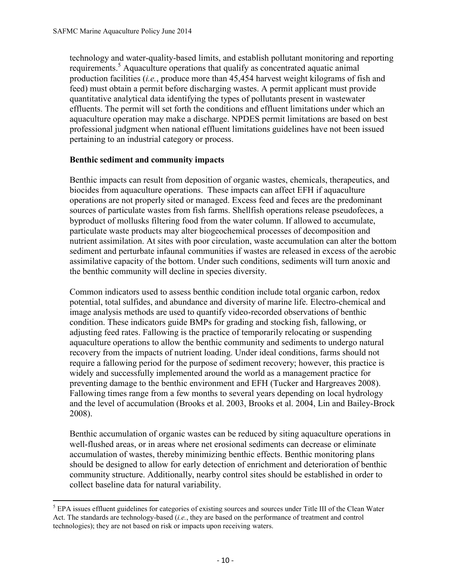technology and water-quality-based limits, and establish pollutant monitoring and reporting requirements.<sup>5</sup> Aquaculture operations that qualify as concentrated aquatic animal production facilities (*i.e.*, produce more than 45,454 harvest weight kilograms of fish and feed) must obtain a permit before discharging wastes. A permit applicant must provide quantitative analytical data identifying the types of pollutants present in wastewater effluents. The permit will set forth the conditions and effluent limitations under which an aquaculture operation may make a discharge. NPDES permit limitations are based on best professional judgment when national effluent limitations guidelines have not been issued pertaining to an industrial category or process.

### **Benthic sediment and community impacts**

Benthic impacts can result from deposition of organic wastes, chemicals, therapeutics, and biocides from aquaculture operations. These impacts can affect EFH if aquaculture operations are not properly sited or managed. Excess feed and feces are the predominant sources of particulate wastes from fish farms. Shellfish operations release pseudofeces, a byproduct of mollusks filtering food from the water column. If allowed to accumulate, particulate waste products may alter biogeochemical processes of decomposition and nutrient assimilation. At sites with poor circulation, waste accumulation can alter the bottom sediment and perturbate infaunal communities if wastes are released in excess of the aerobic assimilative capacity of the bottom. Under such conditions, sediments will turn anoxic and the benthic community will decline in species diversity.

Common indicators used to assess benthic condition include total organic carbon, redox potential, total sulfides, and abundance and diversity of marine life. Electro-chemical and image analysis methods are used to quantify video-recorded observations of benthic condition. These indicators guide BMPs for grading and stocking fish, fallowing, or adjusting feed rates. Fallowing is the practice of temporarily relocating or suspending aquaculture operations to allow the benthic community and sediments to undergo natural recovery from the impacts of nutrient loading. Under ideal conditions, farms should not require a fallowing period for the purpose of sediment recovery; however, this practice is widely and successfully implemented around the world as a management practice for preventing damage to the benthic environment and EFH (Tucker and Hargreaves 2008). Fallowing times range from a few months to several years depending on local hydrology and the level of accumulation (Brooks et al. 2003, Brooks et al. 2004, Lin and Bailey-Brock 2008).

Benthic accumulation of organic wastes can be reduced by siting aquaculture operations in well-flushed areas, or in areas where net erosional sediments can decrease or eliminate accumulation of wastes, thereby minimizing benthic effects. Benthic monitoring plans should be designed to allow for early detection of enrichment and deterioration of benthic community structure. Additionally, nearby control sites should be established in order to collect baseline data for natural variability.

 $\overline{\phantom{a}}$ <sup>5</sup> EPA issues effluent guidelines for categories of existing sources and sources under Title III of the Clean Water Act. The standards are technology-based (*i.e.*, they are based on the performance of treatment and control technologies); they are not based on risk or impacts upon receiving waters.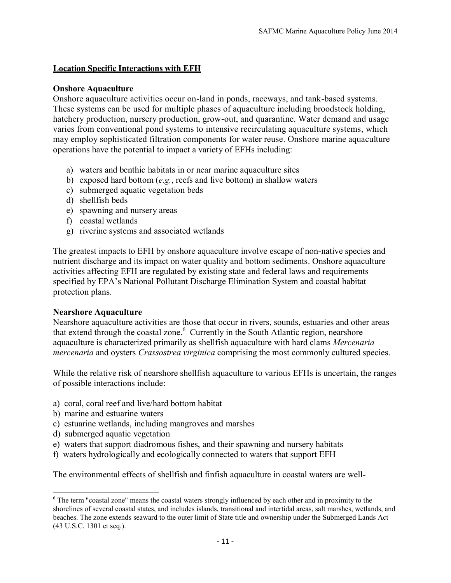# **Location Specific Interactions with EFH**

#### **Onshore Aquaculture**

Onshore aquaculture activities occur on-land in ponds, raceways, and tank-based systems. These systems can be used for multiple phases of aquaculture including broodstock holding, hatchery production, nursery production, grow-out, and quarantine. Water demand and usage varies from conventional pond systems to intensive recirculating aquaculture systems, which may employ sophisticated filtration components for water reuse. Onshore marine aquaculture operations have the potential to impact a variety of EFHs including:

- a) waters and benthic habitats in or near marine aquaculture sites
- b) exposed hard bottom (*e.g.*, reefs and live bottom) in shallow waters
- c) submerged aquatic vegetation beds
- d) shellfish beds
- e) spawning and nursery areas
- f) coastal wetlands
- g) riverine systems and associated wetlands

The greatest impacts to EFH by onshore aquaculture involve escape of non-native species and nutrient discharge and its impact on water quality and bottom sediments. Onshore aquaculture activities affecting EFH are regulated by existing state and federal laws and requirements specified by EPA's National Pollutant Discharge Elimination System and coastal habitat protection plans.

#### **Nearshore Aquaculture**

Nearshore aquaculture activities are those that occur in rivers, sounds, estuaries and other areas that extend through the coastal zone.<sup>6</sup> Currently in the South Atlantic region, nearshore aquaculture is characterized primarily as shellfish aquaculture with hard clams *Mercenaria mercenaria* and oysters *Crassostrea virginica* comprising the most commonly cultured species.

While the relative risk of nearshore shellfish aquaculture to various EFHs is uncertain, the ranges of possible interactions include:

- a) coral, coral reef and live/hard bottom habitat
- b) marine and estuarine waters
- c) estuarine wetlands, including mangroves and marshes
- d) submerged aquatic vegetation

 $\overline{\phantom{a}}$ 

- e) waters that support diadromous fishes, and their spawning and nursery habitats
- f) waters hydrologically and ecologically connected to waters that support EFH

The environmental effects of shellfish and finfish aquaculture in coastal waters are well-

<sup>6</sup> The term "coastal zone" means the coastal waters strongly influenced by each other and in proximity to the shorelines of several coastal states, and includes islands, transitional and intertidal areas, salt marshes, wetlands, and beaches. The zone extends seaward to the outer limit of State title and ownership under the Submerged Lands Act (43 U.S.C. 1301 et seq.).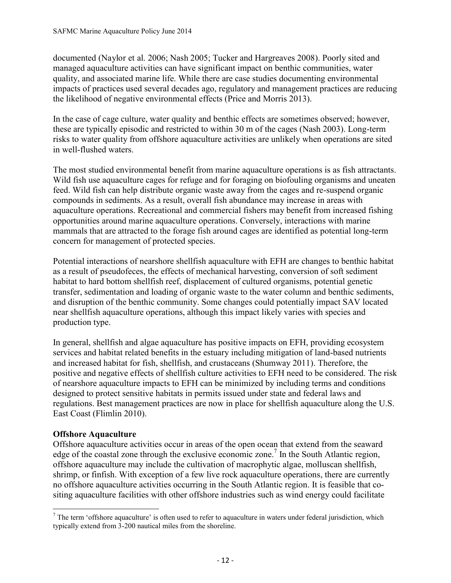documented (Naylor et al. 2006; Nash 2005; Tucker and Hargreaves 2008). Poorly sited and managed aquaculture activities can have significant impact on benthic communities, water quality, and associated marine life. While there are case studies documenting environmental impacts of practices used several decades ago, regulatory and management practices are reducing the likelihood of negative environmental effects (Price and Morris 2013).

In the case of cage culture, water quality and benthic effects are sometimes observed; however, these are typically episodic and restricted to within 30 m of the cages (Nash 2003). Long-term risks to water quality from offshore aquaculture activities are unlikely when operations are sited in well-flushed waters.

The most studied environmental benefit from marine aquaculture operations is as fish attractants. Wild fish use aquaculture cages for refuge and for foraging on biofouling organisms and uneaten feed. Wild fish can help distribute organic waste away from the cages and re-suspend organic compounds in sediments. As a result, overall fish abundance may increase in areas with aquaculture operations. Recreational and commercial fishers may benefit from increased fishing opportunities around marine aquaculture operations. Conversely, interactions with marine mammals that are attracted to the forage fish around cages are identified as potential long-term concern for management of protected species.

Potential interactions of nearshore shellfish aquaculture with EFH are changes to benthic habitat as a result of pseudofeces, the effects of mechanical harvesting, conversion of soft sediment habitat to hard bottom shellfish reef, displacement of cultured organisms, potential genetic transfer, sedimentation and loading of organic waste to the water column and benthic sediments, and disruption of the benthic community. Some changes could potentially impact SAV located near shellfish aquaculture operations, although this impact likely varies with species and production type.

In general, shellfish and algae aquaculture has positive impacts on EFH, providing ecosystem services and habitat related benefits in the estuary including mitigation of land-based nutrients and increased habitat for fish, shellfish, and crustaceans (Shumway 2011). Therefore, the positive and negative effects of shellfish culture activities to EFH need to be considered. The risk of nearshore aquaculture impacts to EFH can be minimized by including terms and conditions designed to protect sensitive habitats in permits issued under state and federal laws and regulations. Best management practices are now in place for shellfish aquaculture along the U.S. East Coast (Flimlin 2010).

# **Offshore Aquaculture**

Offshore aquaculture activities occur in areas of the open ocean that extend from the seaward edge of the coastal zone through the exclusive economic zone.<sup>7</sup> In the South Atlantic region, offshore aquaculture may include the cultivation of macrophytic algae, molluscan shellfish, shrimp, or finfish. With exception of a few live rock aquaculture operations, there are currently no offshore aquaculture activities occurring in the South Atlantic region. It is feasible that cositing aquaculture facilities with other offshore industries such as wind energy could facilitate

 $\overline{\phantom{a}}$  $<sup>7</sup>$  The term 'offshore aquaculture' is often used to refer to aquaculture in waters under federal jurisdiction, which</sup> typically extend from 3-200 nautical miles from the shoreline.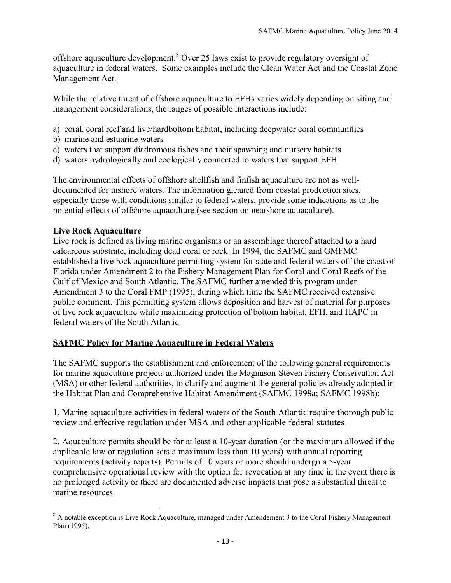offshore aquaculture development.<sup>8</sup> Over 25 laws exist to provide regulatory oversight of aquaculture in federal waters. Some examples include the Clean Water Act and the Coastal Zone Management Act.

While the relative threat of offshore aquaculture to EFHs varies widely depending on siting and management considerations, the ranges of possible interactions include:

- a) coral, coral reef and live/hardbottom habitat, including deepwater coral communities
- b) marine and estuarine waters
- c) waters that support diadromous fishes and their spawning and nursery habitats
- d) waters hydrologically and ecologically connected to waters that support EFH

The environmental effects of offshore shellfish and finfish aquaculture are not as welldocumented for inshore waters. The information gleaned from coastal production sites, especially those with conditions similar to federal waters, provide some indications as to the potential effects of offshore aquaculture (see section on nearshore aquaculture).

#### **Live Rock Aquaculture**

Live rock is defined as living marine organisms or an assemblage thereof attached to a hard calcareous substrate, including dead coral or rock. In 1994, the SAFMC and GMFMC established a live rock aquaculture permitting system for state and federal waters off the coast of Florida under Amendment 2 to the Fishery Management Plan for Coral and Coral Reefs of the Gulf of Mexico and South Atlantic. The SAFMC further amended this program under Amendment 3 to the Coral FMP (1995), during which time the SAFMC received extensive public comment. This permitting system allows deposition and harvest of material for purposes of live rock aquaculture while maximizing protection of bottom habitat, EFH, and HAPC in federal waters of the South Atlantic.

# **SAFMC Policy for Marine Aquaculture in Federal Waters**

The SAFMC supports the establishment and enforcement of the following general requirements for marine aquaculture projects authorized under the Magnuson-Steven Fishery Conservation Act (MSA) or other federal authorities, to clarify and augment the general policies already adopted in the Habitat Plan and Comprehensive Habitat Amendment (SAFMC 1998a; SAFMC 1998b):

1. Marine aquaculture activities in federal waters of the South Atlantic require thorough public review and effective regulation under MSA and other applicable federal statutes.

2. Aquaculture permits should be for at least a 10-year duration (or the maximum allowed if the applicable law or regulation sets a maximum less than 10 years) with annual reporting requirements (activity reports). Permits of 10 years or more should undergo a 5-year comprehensive operational review with the option for revocation at any time in the event there is no prolonged activity or there are documented adverse impacts that pose a substantial threat to marine resources.

 $\overline{\phantom{a}}$  $8$  A notable exception is Live Rock Aquaculture, managed under Amendement 3 to the Coral Fishery Management Plan (1995).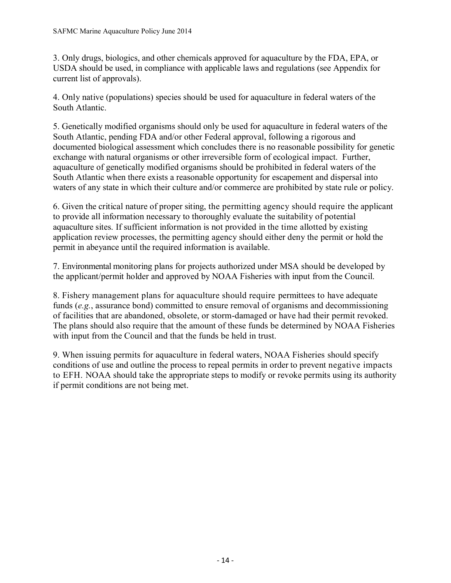3. Only drugs, biologics, and other chemicals approved for aquaculture by the FDA, EPA, or USDA should be used, in compliance with applicable laws and regulations (see Appendix for current list of approvals).

4. Only native (populations) species should be used for aquaculture in federal waters of the South Atlantic.

5. Genetically modified organisms should only be used for aquaculture in federal waters of the South Atlantic, pending FDA and/or other Federal approval, following a rigorous and documented biological assessment which concludes there is no reasonable possibility for genetic exchange with natural organisms or other irreversible form of ecological impact. Further, aquaculture of genetically modified organisms should be prohibited in federal waters of the South Atlantic when there exists a reasonable opportunity for escapement and dispersal into waters of any state in which their culture and/or commerce are prohibited by state rule or policy.

6. Given the critical nature of proper siting, the permitting agency should require the applicant to provide all information necessary to thoroughly evaluate the suitability of potential aquaculture sites. If sufficient information is not provided in the time allotted by existing application review processes, the permitting agency should either deny the permit or hold the permit in abeyance until the required information is available.

7. Environmental monitoring plans for projects authorized under MSA should be developed by the applicant/permit holder and approved by NOAA Fisheries with input from the Council.

8. Fishery management plans for aquaculture should require permittees to have adequate funds (*e.g.*, assurance bond) committed to ensure removal of organisms and decommissioning of facilities that are abandoned, obsolete, or storm-damaged or have had their permit revoked. The plans should also require that the amount of these funds be determined by NOAA Fisheries with input from the Council and that the funds be held in trust.

9. When issuing permits for aquaculture in federal waters, NOAA Fisheries should specify conditions of use and outline the process to repeal permits in order to prevent negative impacts to EFH. NOAA should take the appropriate steps to modify or revoke permits using its authority if permit conditions are not being met.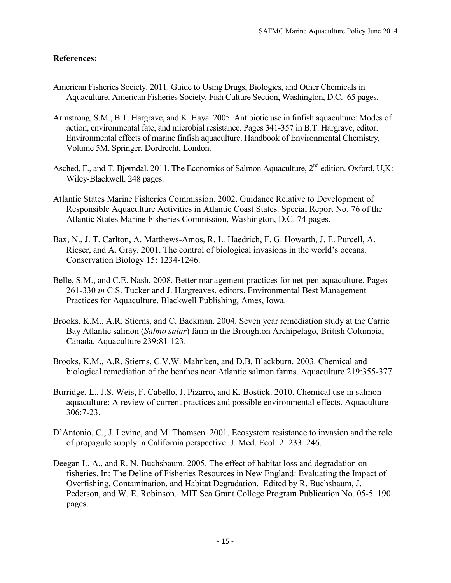# **References:**

- American Fisheries Society. 2011. Guide to Using Drugs, Biologics, and Other Chemicals in Aquaculture. American Fisheries Society, Fish Culture Section, Washington, D.C. 65 pages.
- Armstrong, S.M., B.T. Hargrave, and K. Haya. 2005. Antibiotic use in finfish aquaculture: Modes of action, environmental fate, and microbial resistance. Pages 341-357 in B.T. Hargrave, editor. Environmental effects of marine finfish aquaculture. Handbook of Environmental Chemistry, Volume 5M, Springer, Dordrecht, London.
- Asched, F., and T. Bjørndal. 2011. The Economics of Salmon Aquaculture, 2<sup>nd</sup> edition. Oxford, U,K: Wiley-Blackwell. 248 pages.
- Atlantic States Marine Fisheries Commission. 2002. Guidance Relative to Development of Responsible Aquaculture Activities in Atlantic Coast States. Special Report No. 76 of the Atlantic States Marine Fisheries Commission, Washington, D.C. 74 pages.
- Bax, N., J. T. Carlton, A. Matthews-Amos, R. L. Haedrich, F. G. Howarth, J. E. Purcell, A. Rieser, and A. Gray. 2001. The control of biological invasions in the world's oceans. Conservation Biology 15: 1234-1246.
- Belle, S.M., and C.E. Nash. 2008. Better management practices for net-pen aquaculture. Pages 261-330 *in* C.S. Tucker and J. Hargreaves, editors. Environmental Best Management Practices for Aquaculture. Blackwell Publishing, Ames, Iowa.
- Brooks, K.M., A.R. Stierns, and C. Backman. 2004. Seven year remediation study at the Carrie Bay Atlantic salmon (*Salmo salar*) farm in the Broughton Archipelago, British Columbia, Canada. Aquaculture 239:81-123.
- Brooks, K.M., A.R. Stierns, C.V.W. Mahnken, and D.B. Blackburn. 2003. Chemical and biological remediation of the benthos near Atlantic salmon farms. Aquaculture 219:355-377.
- Burridge, L., J.S. Weis, F. Cabello, J. Pizarro, and K. Bostick. 2010. Chemical use in salmon aquaculture: A review of current practices and possible environmental effects. Aquaculture 306:7-23.
- D'Antonio, C., J. Levine, and M. Thomsen. 2001. Ecosystem resistance to invasion and the role of propagule supply: a California perspective. J. Med. Ecol. 2: 233–246.
- Deegan L. A., and R. N. Buchsbaum. 2005. The effect of habitat loss and degradation on fisheries. In: The Deline of Fisheries Resources in New England: Evaluating the Impact of Overfishing, Contamination, and Habitat Degradation. Edited by R. Buchsbaum, J. Pederson, and W. E. Robinson. MIT Sea Grant College Program Publication No. 05-5. 190 pages.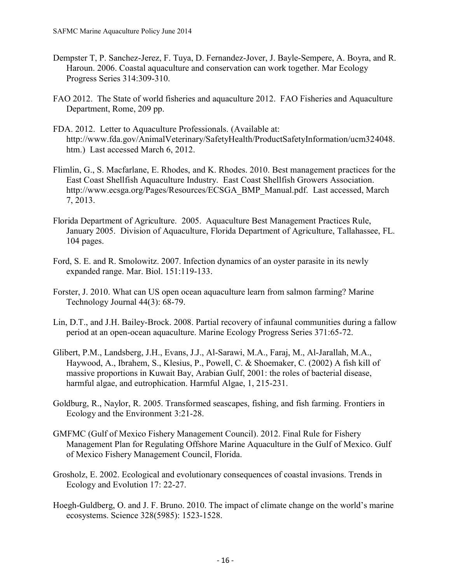- Dempster T, P. Sanchez-Jerez, F. Tuya, D. Fernandez-Jover, J. Bayle-Sempere, A. Boyra, and R. Haroun. 2006. Coastal aquaculture and conservation can work together. Mar Ecology Progress Series 314:309-310.
- FAO 2012. The State of world fisheries and aquaculture 2012. FAO Fisheries and Aquaculture Department, Rome, 209 pp.
- FDA. 2012. Letter to Aquaculture Professionals. (Available at: http://www.fda.gov/AnimalVeterinary/SafetyHealth/ProductSafetyInformation/ucm324048. htm.) Last accessed March 6, 2012.
- Flimlin, G., S. Macfarlane, E. Rhodes, and K. Rhodes. 2010. Best management practices for the East Coast Shellfish Aquaculture Industry. East Coast Shellfish Growers Association. http://www.ecsga.org/Pages/Resources/ECSGA\_BMP\_Manual.pdf. Last accessed, March 7, 2013.
- Florida Department of Agriculture. 2005. Aquaculture Best Management Practices Rule, January 2005. Division of Aquaculture, Florida Department of Agriculture, Tallahassee, FL. 104 pages.
- Ford, S. E. and R. Smolowitz. 2007. Infection dynamics of an oyster parasite in its newly expanded range. Mar. Biol. 151:119-133.
- Forster, J. 2010. What can US open ocean aquaculture learn from salmon farming? Marine Technology Journal 44(3): 68-79.
- Lin, D.T., and J.H. Bailey-Brock. 2008. Partial recovery of infaunal communities during a fallow period at an open-ocean aquaculture. Marine Ecology Progress Series 371:65-72.
- Glibert, P.M., Landsberg, J.H., Evans, J.J., Al-Sarawi, M.A., Faraj, M., Al-Jarallah, M.A., Haywood, A., Ibrahem, S., Klesius, P., Powell, C. & Shoemaker, C. (2002) A fish kill of massive proportions in Kuwait Bay, Arabian Gulf, 2001: the roles of bacterial disease, harmful algae, and eutrophication. Harmful Algae, 1, 215-231.
- Goldburg, R., Naylor, R. 2005. Transformed seascapes, fishing, and fish farming. Frontiers in Ecology and the Environment 3:21-28.
- GMFMC (Gulf of Mexico Fishery Management Council). 2012. Final Rule for Fishery Management Plan for Regulating Offshore Marine Aquaculture in the Gulf of Mexico. Gulf of Mexico Fishery Management Council, Florida.
- Grosholz, E. 2002. Ecological and evolutionary consequences of coastal invasions. Trends in Ecology and Evolution 17: 22-27.
- Hoegh-Guldberg, O. and J. F. Bruno. 2010. The impact of climate change on the world's marine ecosystems. Science 328(5985): 1523-1528.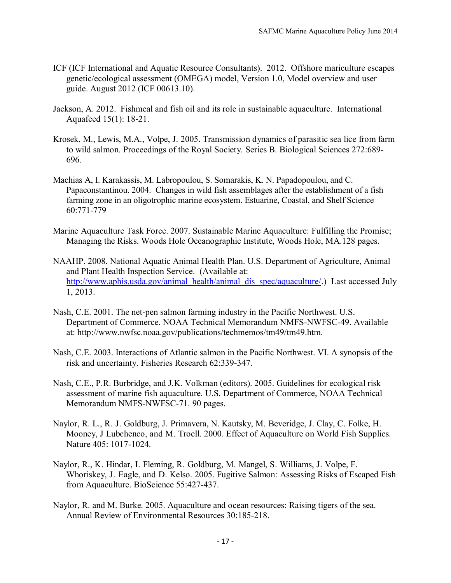- ICF (ICF International and Aquatic Resource Consultants). 2012. Offshore mariculture escapes genetic/ecological assessment (OMEGA) model, Version 1.0, Model overview and user guide. August 2012 (ICF 00613.10).
- Jackson, A. 2012. Fishmeal and fish oil and its role in sustainable aquaculture. International Aquafeed 15(1): 18-21.
- Krosek, M., Lewis, M.A., Volpe, J. 2005. Transmission dynamics of parasitic sea lice from farm to wild salmon. Proceedings of the Royal Society. Series B. Biological Sciences 272:689- 696.
- Machias A, I. Karakassis, M. Labropoulou, S. Somarakis, K. N. Papadopoulou, and C. Papaconstantinou. 2004. Changes in wild fish assemblages after the establishment of a fish farming zone in an oligotrophic marine ecosystem. Estuarine, Coastal, and Shelf Science 60:771-779
- Marine Aquaculture Task Force. 2007. Sustainable Marine Aquaculture: Fulfilling the Promise; Managing the Risks. Woods Hole Oceanographic Institute, Woods Hole, MA.128 pages.
- NAAHP. 2008. National Aquatic Animal Health Plan. U.S. Department of Agriculture, Animal and Plant Health Inspection Service. (Available at: [http://www.aphis.usda.gov/animal\\_health/animal\\_dis\\_spec/aquaculture/.](http://www.aphis.usda.gov/animal_health/animal_dis_spec/aquaculture/)) Last accessed July 1, 2013.
- Nash, C.E. 2001. The net-pen salmon farming industry in the Pacific Northwest. U.S. Department of Commerce. NOAA Technical Memorandum NMFS-NWFSC-49. Available at: http://www.nwfsc.noaa.gov/publications/techmemos/tm49/tm49.htm.
- Nash, C.E. 2003. Interactions of Atlantic salmon in the Pacific Northwest. VI. A synopsis of the risk and uncertainty. Fisheries Research 62:339-347.
- Nash, C.E., P.R. Burbridge, and J.K. Volkman (editors). 2005. Guidelines for ecological risk assessment of marine fish aquaculture. U.S. Department of Commerce, NOAA Technical Memorandum NMFS-NWFSC-71. 90 pages.
- Naylor, R. L., R. J. Goldburg, J. Primavera, N. Kautsky, M. Beveridge, J. Clay, C. Folke, H. Mooney, J Lubchenco, and M. Troell. 2000. Effect of Aquaculture on World Fish Supplies. Nature 405: 1017-1024.
- Naylor, R., K. Hindar, I. Fleming, R. Goldburg, M. Mangel, S. Williams, J. Volpe, F. Whoriskey, J. Eagle, and D. Kelso. 2005. Fugitive Salmon: Assessing Risks of Escaped Fish from Aquaculture. BioScience 55:427-437.
- Naylor, R. and M. Burke. 2005. Aquaculture and ocean resources: Raising tigers of the sea. Annual Review of Environmental Resources 30:185-218.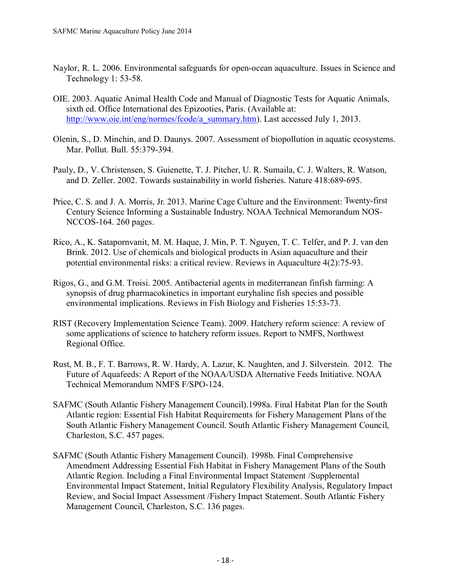- Naylor, R. L. 2006. Environmental safeguards for open-ocean aquaculture. Issues in Science and Technology 1: 53-58.
- OIE. 2003. Aquatic Animal Health Code and Manual of Diagnostic Tests for Aquatic Animals, sixth ed. Office International des Epizooties, Paris. (Available at: [http://www.oie.int/eng/normes/fcode/a\\_summary.htm\)](http://www.oie.int/eng/normes/fcode/a_summary.htm). Last accessed July 1, 2013.
- Olenin, S., D. Minchin, and D. Daunys. 2007. Assessment of biopollution in aquatic ecosystems. Mar. Pollut. Bull. 55:379-394.
- Pauly, D., V. Christensen, S. Guienette, T. J. Pitcher, U. R. Sumaila, C. J. Walters, R. Watson, and D. Zeller. 2002. Towards sustainability in world fisheries. Nature 418:689‐695.
- Price, C. S. and J. A. Morris, Jr. 2013. Marine Cage Culture and the Environment: Twenty-first Century Science Informing a Sustainable Industry. NOAA Technical Memorandum NOS-NCCOS-164. 260 pages.
- Rico, A., K. Satapornvanit, M. M. Haque, J. Min, P. T. Nguyen, T. C. Telfer, and P. J. van den Brink. 2012. Use of chemicals and biological products in Asian aquaculture and their potential environmental risks: a critical review. Reviews in Aquaculture 4(2):75-93.
- Rigos, G., and G.M. Troisi. 2005. Antibacterial agents in mediterranean finfish farming: A synopsis of drug pharmacokinetics in important euryhaline fish species and possible environmental implications. Reviews in Fish Biology and Fisheries 15:53-73.
- RIST (Recovery Implementation Science Team). 2009. Hatchery reform science: A review of some applications of science to hatchery reform issues. Report to NMFS, Northwest Regional Office.
- Rust, M. B., F. T. Barrows, R. W. Hardy, A. Lazur, K. Naughten, and J. Silverstein. 2012. The Future of Aquafeeds: A Report of the NOAA/USDA Alternative Feeds Initiative. NOAA Technical Memorandum NMFS F/SPO-124.
- SAFMC (South Atlantic Fishery Management Council).1998a. Final Habitat Plan for the South Atlantic region: Essential Fish Habitat Requirements for Fishery Management Plans of the South Atlantic Fishery Management Council. South Atlantic Fishery Management Council, Charleston, S.C. 457 pages.
- SAFMC (South Atlantic Fishery Management Council). 1998b. Final Comprehensive Amendment Addressing Essential Fish Habitat in Fishery Management Plans of the South Atlantic Region. Including a Final Environmental Impact Statement /Supplemental Environmental Impact Statement, Initial Regulatory Flexibility Analysis, Regulatory Impact Review, and Social Impact Assessment /Fishery Impact Statement. South Atlantic Fishery Management Council, Charleston, S.C. 136 pages.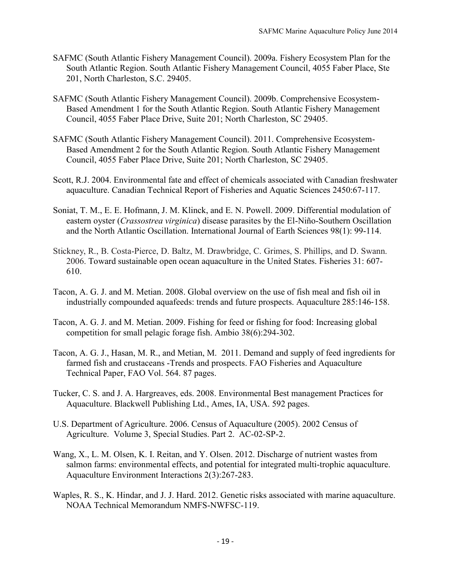- SAFMC (South Atlantic Fishery Management Council). 2009a. Fishery Ecosystem Plan for the South Atlantic Region. South Atlantic Fishery Management Council, 4055 Faber Place, Ste 201, North Charleston, S.C. 29405.
- SAFMC (South Atlantic Fishery Management Council). 2009b. Comprehensive Ecosystem-Based Amendment 1 for the South Atlantic Region. South Atlantic Fishery Management Council, 4055 Faber Place Drive, Suite 201; North Charleston, SC 29405.
- SAFMC (South Atlantic Fishery Management Council). 2011. Comprehensive Ecosystem-Based Amendment 2 for the South Atlantic Region. South Atlantic Fishery Management Council, 4055 Faber Place Drive, Suite 201; North Charleston, SC 29405.
- Scott, R.J. 2004. Environmental fate and effect of chemicals associated with Canadian freshwater aquaculture. Canadian Technical Report of Fisheries and Aquatic Sciences 2450:67-117.
- Soniat, T. M., E. E. Hofmann, J. M. Klinck, and E. N. Powell. 2009. Differential modulation of eastern oyster (*Crassostrea virginica*) disease parasites by the El-Niño-Southern Oscillation and the North Atlantic Oscillation. International Journal of Earth Sciences 98(1): 99-114.
- Stickney, R., B. Costa-Pierce, D. Baltz, M. Drawbridge, C. Grimes, S. Phillips, and D. Swann. 2006. Toward sustainable open ocean aquaculture in the United States. Fisheries 31: 607- 610.
- Tacon, A. G. J. and M. Metian. 2008. Global overview on the use of fish meal and fish oil in industrially compounded aquafeeds: trends and future prospects. Aquaculture 285:146‐158.
- Tacon, A. G. J. and M. Metian. 2009. Fishing for feed or fishing for food: Increasing global competition for small pelagic forage fish. Ambio 38(6):294-302.
- Tacon, A. G. J., Hasan, M. R., and Metian, M. 2011. Demand and supply of feed ingredients for farmed fish and crustaceans -Trends and prospects. FAO Fisheries and Aquaculture Technical Paper, FAO Vol. 564. 87 pages.
- Tucker, C. S. and J. A. Hargreaves, eds. 2008. Environmental Best management Practices for Aquaculture. Blackwell Publishing Ltd., Ames, IA, USA. 592 pages.
- U.S. Department of Agriculture. 2006. Census of Aquaculture (2005). 2002 Census of Agriculture. Volume 3, Special Studies. Part 2. AC-02-SP-2.
- Wang, X., L. M. Olsen, K. I. Reitan, and Y. Olsen. 2012. Discharge of nutrient wastes from salmon farms: environmental effects, and potential for integrated multi-trophic aquaculture. Aquaculture Environment Interactions 2(3):267-283.
- Waples, R. S., K. Hindar, and J. J. Hard. 2012. Genetic risks associated with marine aquaculture. NOAA Technical Memorandum NMFS-NWFSC-119.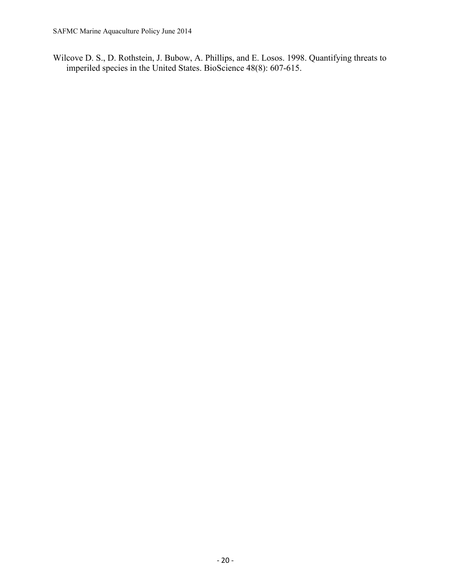Wilcove D. S., D. Rothstein, J. Bubow, A. Phillips, and E. Losos. 1998. Quantifying threats to imperiled species in the United States. BioScience 48(8): 607-615.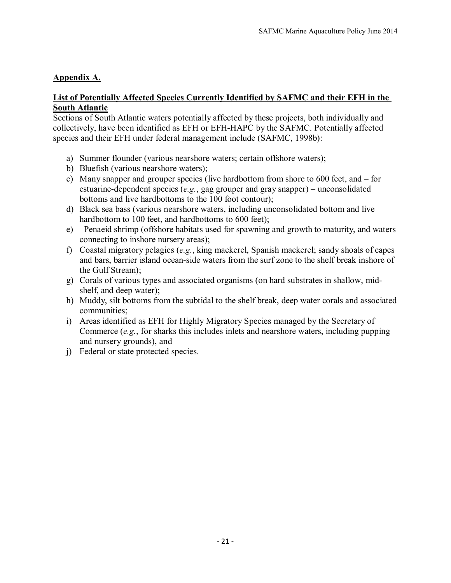# **Appendix A.**

### **List of Potentially Affected Species Currently Identified by SAFMC and their EFH in the South Atlantic**

Sections of South Atlantic waters potentially affected by these projects, both individually and collectively, have been identified as EFH or EFH-HAPC by the SAFMC. Potentially affected species and their EFH under federal management include (SAFMC, 1998b):

- a) Summer flounder (various nearshore waters; certain offshore waters);
- b) Bluefish (various nearshore waters);
- c) Many snapper and grouper species (live hardbottom from shore to 600 feet, and for estuarine-dependent species (*e.g.*, gag grouper and gray snapper) – unconsolidated bottoms and live hardbottoms to the 100 foot contour);
- d) Black sea bass (various nearshore waters, including unconsolidated bottom and live hardbottom to 100 feet, and hardbottoms to 600 feet);
- e) Penaeid shrimp (offshore habitats used for spawning and growth to maturity, and waters connecting to inshore nursery areas);
- f) Coastal migratory pelagics (*e.g.*, king mackerel, Spanish mackerel; sandy shoals of capes and bars, barrier island ocean-side waters from the surf zone to the shelf break inshore of the Gulf Stream);
- g) Corals of various types and associated organisms (on hard substrates in shallow, midshelf, and deep water);
- h) Muddy, silt bottoms from the subtidal to the shelf break, deep water corals and associated communities;
- i) Areas identified as EFH for Highly Migratory Species managed by the Secretary of Commerce (*e.g.*, for sharks this includes inlets and nearshore waters, including pupping and nursery grounds), and
- j) Federal or state protected species.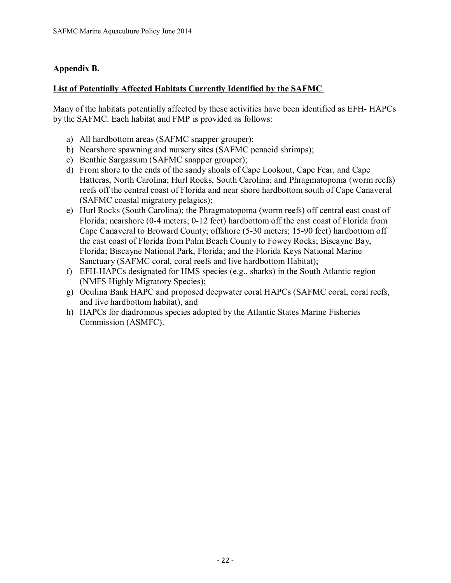# **Appendix B.**

### **List of Potentially Affected Habitats Currently Identified by the SAFMC**

Many of the habitats potentially affected by these activities have been identified as EFH- HAPCs by the SAFMC. Each habitat and FMP is provided as follows:

- a) All hardbottom areas (SAFMC snapper grouper);
- b) Nearshore spawning and nursery sites (SAFMC penaeid shrimps);
- c) Benthic Sargassum (SAFMC snapper grouper);
- d) From shore to the ends of the sandy shoals of Cape Lookout, Cape Fear, and Cape Hatteras, North Carolina; Hurl Rocks, South Carolina; and Phragmatopoma (worm reefs) reefs off the central coast of Florida and near shore hardbottom south of Cape Canaveral (SAFMC coastal migratory pelagics);
- e) Hurl Rocks (South Carolina); the Phragmatopoma (worm reefs) off central east coast of Florida; nearshore (0-4 meters; 0-12 feet) hardbottom off the east coast of Florida from Cape Canaveral to Broward County; offshore (5-30 meters; 15-90 feet) hardbottom off the east coast of Florida from Palm Beach County to Fowey Rocks; Biscayne Bay, Florida; Biscayne National Park, Florida; and the Florida Keys National Marine Sanctuary (SAFMC coral, coral reefs and live hardbottom Habitat);
- f) EFH-HAPCs designated for HMS species (e.g., sharks) in the South Atlantic region (NMFS Highly Migratory Species);
- g) Oculina Bank HAPC and proposed deepwater coral HAPCs (SAFMC coral, coral reefs, and live hardbottom habitat), and
- h) HAPCs for diadromous species adopted by the Atlantic States Marine Fisheries Commission (ASMFC).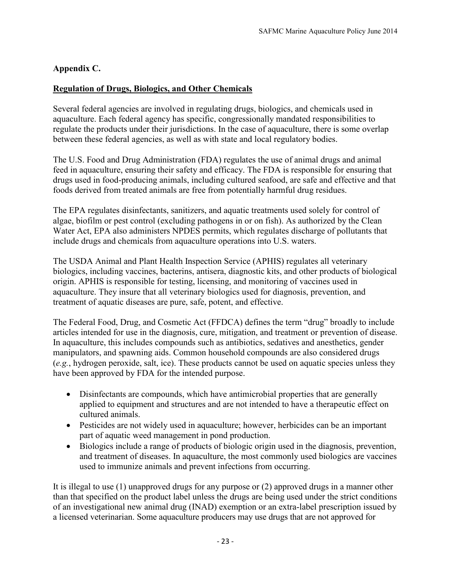# **Appendix C.**

# **Regulation of Drugs, Biologics, and Other Chemicals**

Several federal agencies are involved in regulating drugs, biologics, and chemicals used in aquaculture. Each federal agency has specific, congressionally mandated responsibilities to regulate the products under their jurisdictions. In the case of aquaculture, there is some overlap between these federal agencies, as well as with state and local regulatory bodies.

The U.S. Food and Drug Administration (FDA) regulates the use of animal drugs and animal feed in aquaculture, ensuring their safety and efficacy. The FDA is responsible for ensuring that drugs used in food-producing animals, including cultured seafood, are safe and effective and that foods derived from treated animals are free from potentially harmful drug residues.

The EPA regulates disinfectants, sanitizers, and aquatic treatments used solely for control of algae, biofilm or pest control (excluding pathogens in or on fish). As authorized by the Clean Water Act, EPA also administers NPDES permits, which regulates discharge of pollutants that include drugs and chemicals from aquaculture operations into U.S. waters.

The USDA Animal and Plant Health Inspection Service (APHIS) regulates all veterinary biologics, including vaccines, bacterins, antisera, diagnostic kits, and other products of biological origin. APHIS is responsible for testing, licensing, and monitoring of vaccines used in aquaculture. They insure that all veterinary biologics used for diagnosis, prevention, and treatment of aquatic diseases are pure, safe, potent, and effective.

The Federal Food, Drug, and Cosmetic Act (FFDCA) defines the term "drug" broadly to include articles intended for use in the diagnosis, cure, mitigation, and treatment or prevention of disease. In aquaculture, this includes compounds such as antibiotics, sedatives and anesthetics, gender manipulators, and spawning aids. Common household compounds are also considered drugs (*e.g.*, hydrogen peroxide, salt, ice). These products cannot be used on aquatic species unless they have been approved by FDA for the intended purpose.

- Disinfectants are compounds, which have antimicrobial properties that are generally applied to equipment and structures and are not intended to have a therapeutic effect on cultured animals.
- Pesticides are not widely used in aquaculture; however, herbicides can be an important part of aquatic weed management in pond production.
- Biologics include a range of products of biologic origin used in the diagnosis, prevention, and treatment of diseases. In aquaculture, the most commonly used biologics are vaccines used to immunize animals and prevent infections from occurring.

It is illegal to use (1) unapproved drugs for any purpose or (2) approved drugs in a manner other than that specified on the product label unless the drugs are being used under the strict conditions of an investigational new animal drug (INAD) exemption or an extra-label prescription issued by a licensed veterinarian. Some aquaculture producers may use drugs that are not approved for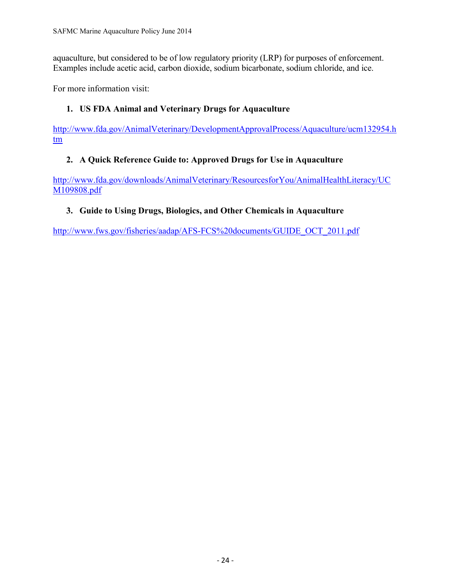aquaculture, but considered to be of low regulatory priority (LRP) for purposes of enforcement. Examples include acetic acid, carbon dioxide, sodium bicarbonate, sodium chloride, and ice.

For more information visit:

# **1. US FDA Animal and Veterinary Drugs for Aquaculture**

[http://www.fda.gov/AnimalVeterinary/DevelopmentApprovalProcess/Aquaculture/ucm132954.h](http://www.fda.gov/AnimalVeterinary/DevelopmentApprovalProcess/Aquaculture/ucm132954.htm) [tm](http://www.fda.gov/AnimalVeterinary/DevelopmentApprovalProcess/Aquaculture/ucm132954.htm)

# **2. A Quick Reference Guide to: Approved Drugs for Use in Aquaculture**

[http://www.fda.gov/downloads/AnimalVeterinary/ResourcesforYou/AnimalHealthLiteracy/UC](http://www.fda.gov/downloads/AnimalVeterinary/ResourcesforYou/AnimalHealthLiteracy/UCM109808.pdf) [M109808.pdf](http://www.fda.gov/downloads/AnimalVeterinary/ResourcesforYou/AnimalHealthLiteracy/UCM109808.pdf)

# **3. Guide to Using Drugs, Biologics, and Other Chemicals in Aquaculture**

[http://www.fws.gov/fisheries/aadap/AFS-FCS%20documents/GUIDE\\_OCT\\_2011.pdf](http://www.fws.gov/fisheries/aadap/AFS-FCS%20documents/GUIDE_OCT_2011.pdf)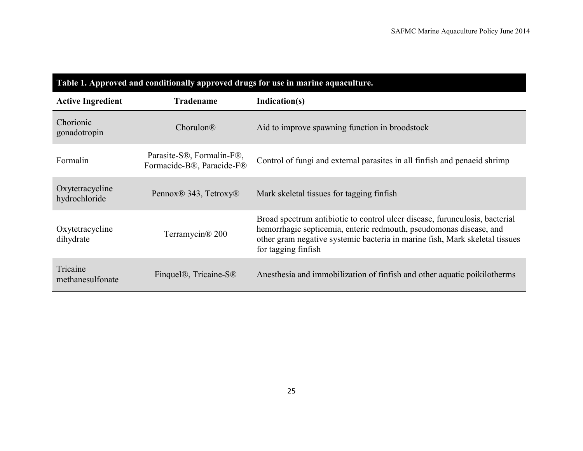| Table 1. Approved and conditionally approved drugs for use in marine aquaculture. |                                                        |                                                                                                                                                                                                                                                         |  |  |
|-----------------------------------------------------------------------------------|--------------------------------------------------------|---------------------------------------------------------------------------------------------------------------------------------------------------------------------------------------------------------------------------------------------------------|--|--|
| <b>Active Ingredient</b>                                                          | <b>Tradename</b>                                       | Indication(s)                                                                                                                                                                                                                                           |  |  |
| Chorionic<br>gonadotropin                                                         | $Chorulon\mathbb{R}$                                   | Aid to improve spawning function in broodstock                                                                                                                                                                                                          |  |  |
| Formalin                                                                          | Parasite-S®, Formalin-F®,<br>Formacide-B®, Paracide-F® | Control of fungi and external parasites in all finfish and penaeid shrimp                                                                                                                                                                               |  |  |
| Oxytetracycline<br>hydrochloride                                                  | Pennox <sup>®</sup> 343, Tetroxy <sup>®</sup>          | Mark skeletal tissues for tagging finfish                                                                                                                                                                                                               |  |  |
| Oxytetracycline<br>dihydrate                                                      | Terramycin <sup>®</sup> 200                            | Broad spectrum antibiotic to control ulcer disease, furunculosis, bacterial<br>hemorrhagic septicemia, enteric redmouth, pseudomonas disease, and<br>other gram negative systemic bacteria in marine fish, Mark skeletal tissues<br>for tagging finfish |  |  |
| Tricaine<br>methanesulfonate                                                      | Finquel <sup>®</sup> , Tricaine-S <sup>®</sup>         | Anesthesia and immobilization of finfish and other aquatic poikilotherms                                                                                                                                                                                |  |  |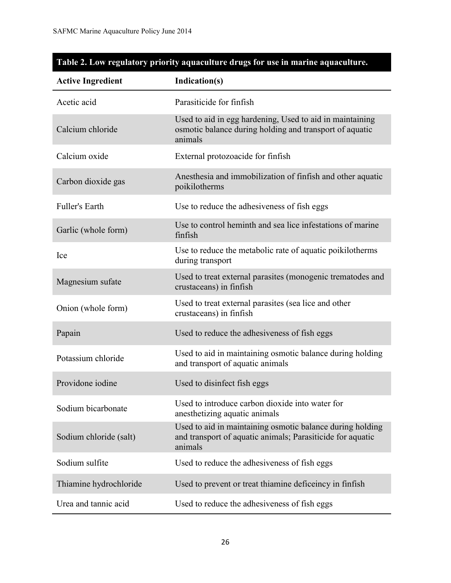| <b>Active Ingredient</b> | Indication(s)                                                                                                                      |  |
|--------------------------|------------------------------------------------------------------------------------------------------------------------------------|--|
| Acetic acid              | Parasiticide for finfish                                                                                                           |  |
| Calcium chloride         | Used to aid in egg hardening, Used to aid in maintaining<br>osmotic balance during holding and transport of aquatic<br>animals     |  |
| Calcium oxide            | External protozoacide for finfish                                                                                                  |  |
| Carbon dioxide gas       | Anesthesia and immobilization of finfish and other aquatic<br>poikilotherms                                                        |  |
| <b>Fuller's Earth</b>    | Use to reduce the adhesiveness of fish eggs                                                                                        |  |
| Garlic (whole form)      | Use to control heminth and sea lice infestations of marine<br>finfish                                                              |  |
| Ice                      | Use to reduce the metabolic rate of aquatic poikilotherms<br>during transport                                                      |  |
| Magnesium sufate         | Used to treat external parasites (monogenic trematodes and<br>crustaceans) in finfish                                              |  |
| Onion (whole form)       | Used to treat external parasites (sea lice and other<br>crustaceans) in finfish                                                    |  |
| Papain                   | Used to reduce the adhesiveness of fish eggs                                                                                       |  |
| Potassium chloride       | Used to aid in maintaining osmotic balance during holding<br>and transport of aquatic animals                                      |  |
| Providone iodine         | Used to disinfect fish eggs                                                                                                        |  |
| Sodium bicarbonate       | Used to introduce carbon dioxide into water for<br>anesthetizing aquatic animals                                                   |  |
| Sodium chloride (salt)   | Used to aid in maintaining osmotic balance during holding<br>and transport of aquatic animals; Parasiticide for aquatic<br>animals |  |
| Sodium sulfite           | Used to reduce the adhesiveness of fish eggs                                                                                       |  |
| Thiamine hydrochloride   | Used to prevent or treat thiamine deficeincy in finfish                                                                            |  |
| Urea and tannic acid     | Used to reduce the adhesiveness of fish eggs                                                                                       |  |

# **Table 2. Low regulatory priority aquaculture drugs for use in marine aquaculture.**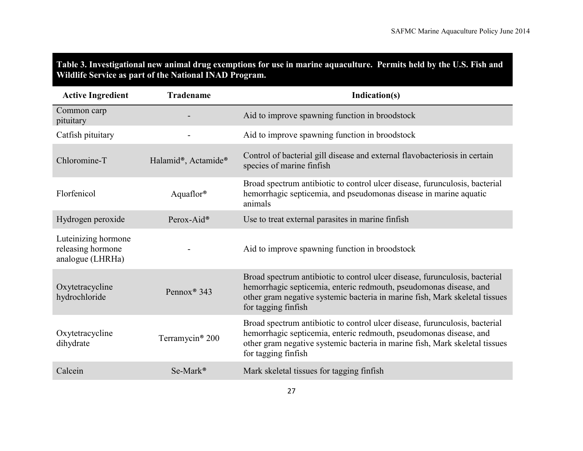# **Table 3. Investigational new animal drug exemptions for use in marine aquaculture. Permits held by the U.S. Fish and Wildlife Service as part of the National INAD Program.**

| <b>Active Ingredient</b>                                     | <b>Tradename</b>            | Indication(s)                                                                                                                                                                                                                                           |
|--------------------------------------------------------------|-----------------------------|---------------------------------------------------------------------------------------------------------------------------------------------------------------------------------------------------------------------------------------------------------|
| Common carp<br>pituitary                                     |                             | Aid to improve spawning function in broodstock                                                                                                                                                                                                          |
| Catfish pituitary                                            |                             | Aid to improve spawning function in broodstock                                                                                                                                                                                                          |
| Chloromine-T                                                 | Halamid®, Actamide®         | Control of bacterial gill disease and external flavobacteriosis in certain<br>species of marine finfish                                                                                                                                                 |
| Florfenicol                                                  | Aquaflor <sup>®</sup>       | Broad spectrum antibiotic to control ulcer disease, furunculosis, bacterial<br>hemorrhagic septicemia, and pseudomonas disease in marine aquatic<br>animals                                                                                             |
| Hydrogen peroxide                                            | Perox-Aid®                  | Use to treat external parasites in marine finfish                                                                                                                                                                                                       |
| Luteinizing hormone<br>releasing hormone<br>analogue (LHRHa) |                             | Aid to improve spawning function in broodstock                                                                                                                                                                                                          |
| Oxytetracycline<br>hydrochloride                             | Pennox <sup>®</sup> 343     | Broad spectrum antibiotic to control ulcer disease, furunculosis, bacterial<br>hemorrhagic septicemia, enteric redmouth, pseudomonas disease, and<br>other gram negative systemic bacteria in marine fish, Mark skeletal tissues<br>for tagging finfish |
| Oxytetracycline<br>dihydrate                                 | Terramycin <sup>®</sup> 200 | Broad spectrum antibiotic to control ulcer disease, furunculosis, bacterial<br>hemorrhagic septicemia, enteric redmouth, pseudomonas disease, and<br>other gram negative systemic bacteria in marine fish, Mark skeletal tissues<br>for tagging finfish |
| Calcein                                                      | Se-Mark®                    | Mark skeletal tissues for tagging finfish                                                                                                                                                                                                               |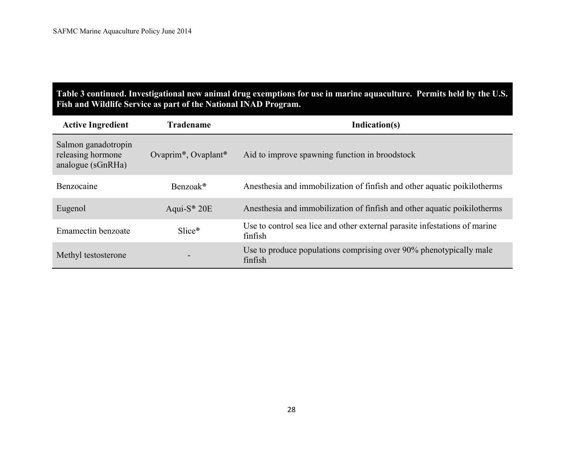# **Table 3 continued. Investigational new animal drug exemptions for use in marine aquaculture. Permits held by the U.S. Fish and Wildlife Service as part of the National INAD Program.**

| <b>Active Ingredient</b>                                      | <b>Tradename</b>                             | Indication(s)                                                                         |
|---------------------------------------------------------------|----------------------------------------------|---------------------------------------------------------------------------------------|
| Salmon ganadotropin<br>releasing hormone<br>analogue (sGnRHa) | Ovaprim <sup>®</sup> , Ovaplant <sup>®</sup> | Aid to improve spawning function in broodstock                                        |
| Benzocaine                                                    | Benzoak <sup>®</sup>                         | An esthesia and immobilization of finfish and other aquatic poikilotherms             |
| Eugenol                                                       | Aqui- $S^{\circledast}$ 20E                  | An esthesia and immobilization of finfish and other aquatic poikilotherms             |
| Emamectin benzoate                                            | $Slice^{\circledast}$                        | Use to control sea lice and other external parasite infestations of marine<br>finfish |
| Methyl testosterone                                           |                                              | Use to produce populations comprising over 90% phenotypically male<br>finfish         |